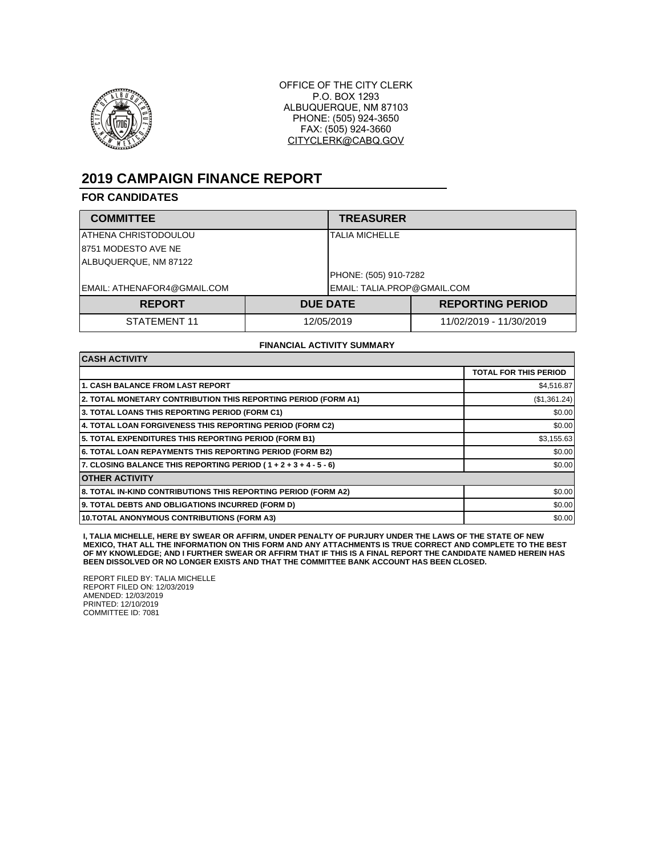

OFFICE OF THE CITY CLERK P.O. BOX 1293 ALBUQUERQUE, NM 87103 PHONE: (505) 924-3650 FAX: (505) 924-3660 CITYCLERK@CABQ.GOV

# **2019 CAMPAIGN FINANCE REPORT**

## **FOR CANDIDATES**

| <b>COMMITTEE</b>            |            | <b>TREASURER</b>            |                         |  |
|-----------------------------|------------|-----------------------------|-------------------------|--|
| IATHENA CHRISTODOULOU       |            |                             | TALIA MICHELLE          |  |
| 18751 MODESTO AVE NE        |            |                             |                         |  |
| ALBUQUERQUE, NM 87122       |            |                             |                         |  |
|                             |            | PHONE: (505) 910-7282       |                         |  |
| EMAIL: ATHENAFOR4@GMAIL.COM |            | EMAIL: TALIA.PROP@GMAIL.COM |                         |  |
| <b>REPORT</b>               |            | <b>DUE DATE</b>             | <b>REPORTING PERIOD</b> |  |
| STATEMENT 11                | 12/05/2019 |                             | 11/02/2019 - 11/30/2019 |  |

#### **FINANCIAL ACTIVITY SUMMARY**

| <b>CASH ACTIVITY</b>                                             |                              |  |
|------------------------------------------------------------------|------------------------------|--|
|                                                                  | <b>TOTAL FOR THIS PERIOD</b> |  |
| <b>1. CASH BALANCE FROM LAST REPORT</b>                          | \$4,516.87                   |  |
| 2. TOTAL MONETARY CONTRIBUTION THIS REPORTING PERIOD (FORM A1)   | (\$1,361.24)                 |  |
| 3. TOTAL LOANS THIS REPORTING PERIOD (FORM C1)                   | \$0.00                       |  |
| 4. TOTAL LOAN FORGIVENESS THIS REPORTING PERIOD (FORM C2)        | \$0.00                       |  |
| 5. TOTAL EXPENDITURES THIS REPORTING PERIOD (FORM B1)            | \$3,155.63                   |  |
| <b>6. TOTAL LOAN REPAYMENTS THIS REPORTING PERIOD (FORM B2)</b>  | \$0.00                       |  |
| 7. CLOSING BALANCE THIS REPORTING PERIOD (1 + 2 + 3 + 4 - 5 - 6) | \$0.00                       |  |
| <b>OTHER ACTIVITY</b>                                            |                              |  |
| 8. TOTAL IN-KIND CONTRIBUTIONS THIS REPORTING PERIOD (FORM A2)   | \$0.00                       |  |
| 9. TOTAL DEBTS AND OBLIGATIONS INCURRED (FORM D)                 | \$0.00                       |  |
| 10. TOTAL ANONYMOUS CONTRIBUTIONS (FORM A3)                      | \$0.00                       |  |

I, TALIA MICHELLE, HERE BY SWEAR OR AFFIRM, UNDER PENALTY OF PURJURY UNDER THE LAWS OF THE STATE OF NEW<br>MEXICO, THAT ALL THE INFORMATION ON THIS FORM AND ANY ATTACHMENTS IS TRUE CORRECT AND COMPLETE TO THE BEST **OF MY KNOWLEDGE; AND I FURTHER SWEAR OR AFFIRM THAT IF THIS IS A FINAL REPORT THE CANDIDATE NAMED HEREIN HAS BEEN DISSOLVED OR NO LONGER EXISTS AND THAT THE COMMITTEE BANK ACCOUNT HAS BEEN CLOSED.**

REPORT FILED BY: TALIA MICHELLE REPORT FILED ON: 12/03/2019 AMENDED: 12/03/2019 PRINTED: 12/10/2019 COMMITTEE ID: 7081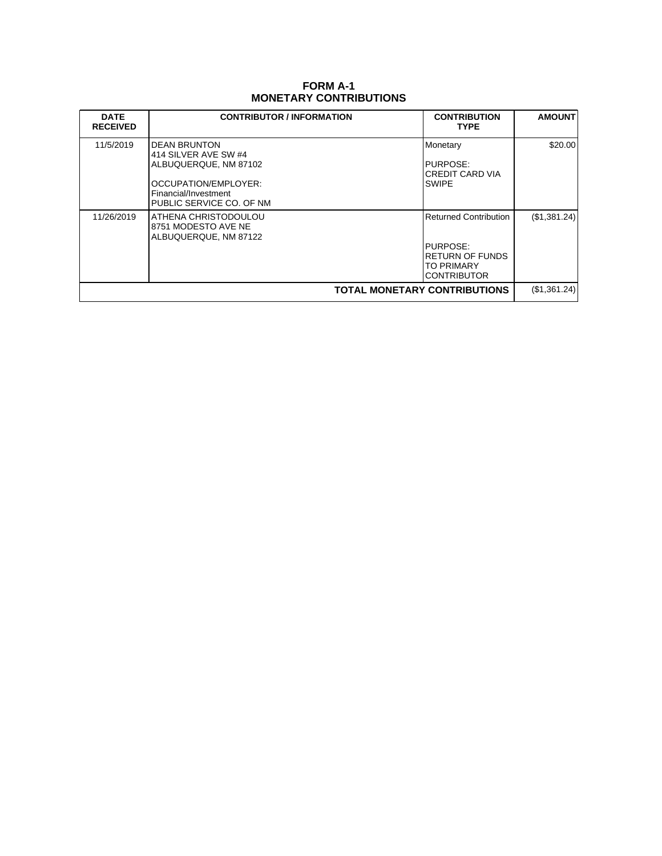# **FORM A-1 MONETARY CONTRIBUTIONS**

| <b>DATE</b><br><b>RECEIVED</b>      | <b>CONTRIBUTOR / INFORMATION</b>                                                                                                          | <b>CONTRIBUTION</b><br><b>TYPE</b>                                                                            | <b>AMOUNT</b> |
|-------------------------------------|-------------------------------------------------------------------------------------------------------------------------------------------|---------------------------------------------------------------------------------------------------------------|---------------|
| 11/5/2019                           | DEAN BRUNTON<br>414 SILVER AVE SW #4<br>ALBUQUERQUE, NM 87102<br>OCCUPATION/EMPLOYER:<br>Financial/Investment<br>PUBLIC SERVICE CO. OF NM | Monetary<br>PURPOSE:<br><b>CREDIT CARD VIA</b><br><b>SWIPE</b>                                                | \$20.00       |
| 11/26/2019                          | ATHENA CHRISTODOULOU<br>8751 MODESTO AVE NE<br>ALBUQUERQUE, NM 87122                                                                      | <b>Returned Contribution</b><br>PURPOSE:<br><b>RETURN OF FUNDS</b><br><b>TO PRIMARY</b><br><b>CONTRIBUTOR</b> | (\$1,381.24)  |
| <b>TOTAL MONETARY CONTRIBUTIONS</b> |                                                                                                                                           |                                                                                                               | (\$1,361.24)  |